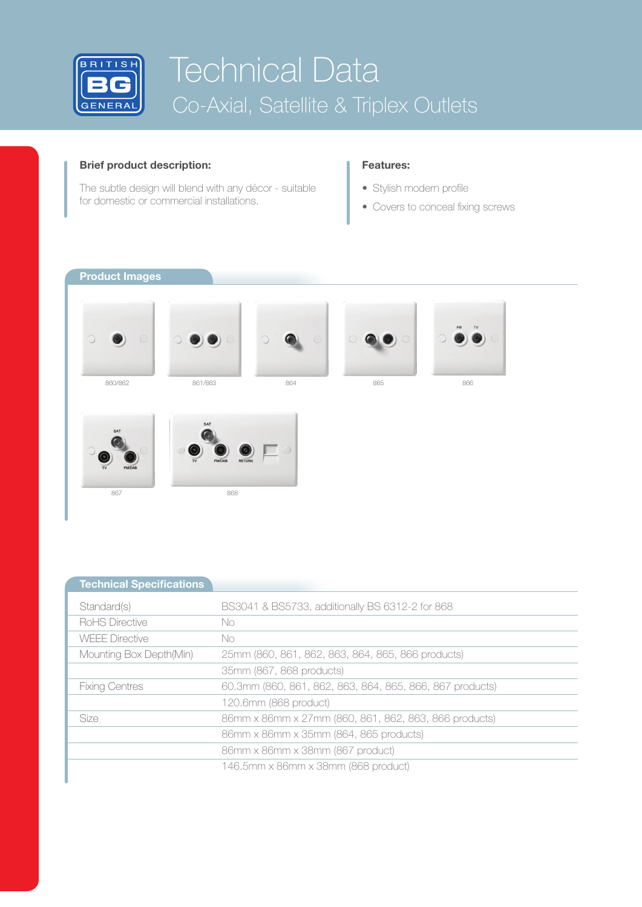

## **Brief product description:**

The subtle design will blend with any décor - suitable for domestic or commercial installations.

## **Features:**

- Stylish modern profile
- Covers to conceal fixing screws

**Product Images**















| <b>Technical Specifications</b> |                                                          |
|---------------------------------|----------------------------------------------------------|
| Standard(s)                     | BS3041 & BS5733, additionally BS 6312-2 for 868          |
| <b>RoHS Directive</b>           | No.                                                      |
| <b>WEEE Directive</b>           | No.                                                      |
| Mounting Box Depth(Min)         | 25mm (860, 861, 862, 863, 864, 865, 866 products)        |
|                                 | 35mm (867, 868 products)                                 |
| <b>Fixing Centres</b>           | 60.3mm (860, 861, 862, 863, 864, 865, 866, 867 products) |
|                                 | 120.6mm (868 product)                                    |
| Size                            | 86mm x 86mm x 27mm (860, 861, 862, 863, 866 products)    |
|                                 | 86mm x 86mm x 35mm (864, 865 products)                   |
|                                 | 86mm x 86mm x 38mm (867 product)                         |
|                                 | 146.5mm x 86mm x 38mm (868 product)                      |
|                                 |                                                          |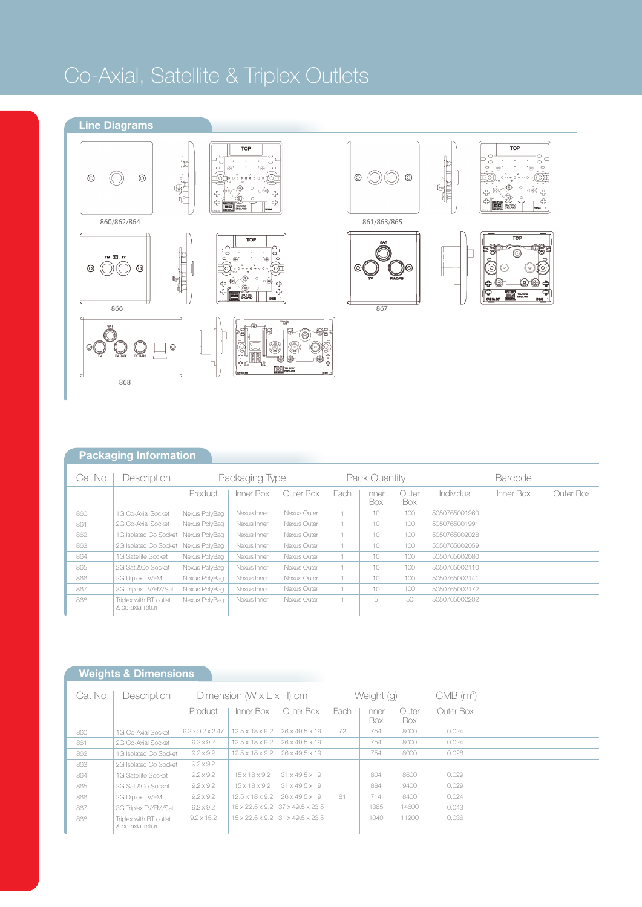# Co-Axial, Satellite & Triplex Outlets



# **Packaging Information**

| Description<br>Cat No. |                                             | Packaging Type |             |             | Pack Quantity |              |              | <b>Barcode</b> |           |           |
|------------------------|---------------------------------------------|----------------|-------------|-------------|---------------|--------------|--------------|----------------|-----------|-----------|
|                        |                                             | Product        | Inner Box   | Outer Box   | Each          | Inner<br>Box | Outer<br>Box | Individual     | Inner Box | Outer Box |
| 860                    | 1G Co-Axial Socket                          | Nexus PolyBag  | Nexus Inner | Nexus Outer |               | 10           | 100          | 5050765001960  |           |           |
| 861                    | 2G Co-Axial Socket                          | Nexus PolyBag  | Nexus Inner | Nexus Outer |               | 10           | 100          | 5050765001991  |           |           |
| 862                    | 1G Isolated Co Socket                       | Nexus PolvBag  | Nexus Inner | Nexus Outer |               | 10           | 100          | 5050765002028  |           |           |
| 863                    | 2G Isolated Co Socket                       | Nexus PolyBag  | Nexus Inner | Nexus Outer |               | 10           | 100          | 5050765002059  |           |           |
| 864                    | 1G Satellite Socket                         | Nexus PolyBag  | Nexus Inner | Nexus Outer |               | 10           | 100          | 5050765002080  |           |           |
| 865                    | 2G Sat & Co Socket                          | Nexus PolyBag  | Nexus Inner | Nexus Outer |               | 10           | 100          | 5050765002110  |           |           |
| 866                    | 2G Diplex TV/FM                             | Nexus PolyBag  | Nexus Inner | Nexus Outer |               | 10           | 100          | 5050765002141  |           |           |
| 867                    | 3G Triplex TV/FM/Sat                        | Nexus PolvBag  | Nexus Inner | Nexus Outer |               | 10           | 100          | 5050765002172  |           |           |
| 868                    | Triplex with BT outlet<br>& co-axial return | Nexus PolyBag  | Nexus Inner | Nexus Outer |               | 5            | 50           | 5050765002202  |           |           |

# **Weights & Dimensions**

| Cat No. | Description                                 | Dimension $(W \times L \times H)$ cm |                             |                                  | Weight (g) |              |              | $CMB$ (m <sup>3</sup> ) |
|---------|---------------------------------------------|--------------------------------------|-----------------------------|----------------------------------|------------|--------------|--------------|-------------------------|
|         |                                             | Product                              | Inner Box                   | Outer Box                        | Each       | Inner<br>Box | Outer<br>Box | Outer Box               |
| 860     | 1G Co-Axial Socket                          | $9.2 \times 9.2 \times 2.47$         | $12.5 \times 18 \times 9.2$ | 26 x 49.5 x 19                   | 72         | 754          | 8000         | 0.024                   |
| 861     | 2G Co-Axial Socket                          | $9.2 \times 9.2$                     | $12.5 \times 18 \times 9.2$ | 26 x 49.5 x 19                   |            | 754          | 8000         | 0.024                   |
| 862     | 1G Isolated Co Socket                       | $9.2 \times 9.2$                     | $12.5 \times 18 \times 9.2$ | 26 x 49.5 x 19                   |            | 754          | 8000         | 0.028                   |
| 863     | 2G Isolated Co Socket                       | $9.2 \times 9.2$                     |                             |                                  |            |              |              |                         |
| 864     | 1G Satellite Socket                         | $9.2 \times 9.2$                     | $15 \times 18 \times 9.2$   | 31 x 49.5 x 19                   |            | 804          | 8600         | 0.029                   |
| 865     | 2G Sat.&Co Socket                           | $9.2 \times 9.2$                     | $15 \times 18 \times 9.2$   | $31 \times 49.5 \times 19$       |            | 884          | 9400         | 0.029                   |
| 866     | 2G Diplex TV/FM                             | $9.2 \times 9.2$                     | $12.5 \times 18 \times 9.2$ | 26 x 49.5 x 19                   | 81         | 714          | 8400         | 0.024                   |
| 867     | 3G Triplex TV/FM/Sat                        | $9.2 \times 9.2$                     |                             | 18 x 22.5 x 9.2 37 x 49.5 x 23.5 |            | 1385         | 14600        | 0.043                   |
| 868     | Triplex with BT outlet<br>& co-axial return | $9.2 \times 15.2$                    |                             | 15 x 22.5 x 9.2 31 x 49.5 x 23.5 |            | 1040         | 11200        | 0.036                   |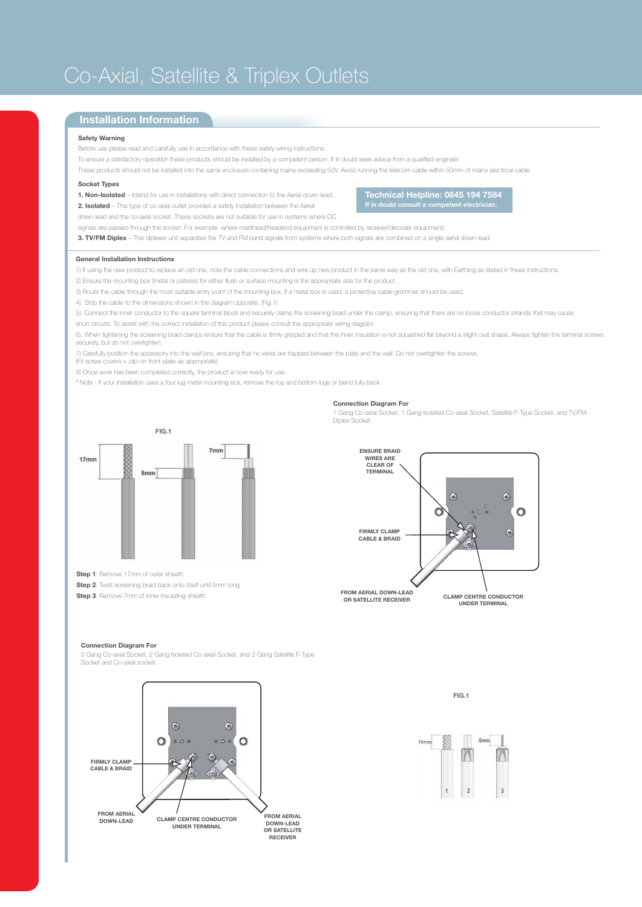# Co-Axial, Satellite & Triplex Outlets

## **Installation Information**

#### **Safety Warning**

Before use please read and carefully use in accordance with these safety wiring instructions.

To ensure a satisfactory operation these products should be installed by a competent person. If in doubt seek advice from a qualified engineer.

These products should not be installed into the same enclosure containing mains exceeding 50V. Avoid running the telecom cable within 50mm of mains electrical cable.

### **Socket Types**

**1. Non-Isolated** – Intend for use in installations with direct connection to the Aerial down-lead. **2. Isolated** – This type of co-axial outlet provides a safety installation between the Aerial

**Technical Helpline: 0845 194 7584 If in doubt consult a competent electrician.**

down-lead and the co-axial socket. These sockets are not suitable for use in systems where DC

signals are passed through the socket. For example, where masthead/headend equipment is controlled by receiver/decoder equipment).

**3. TV/FM Diplex** – This diplexer unit separates the TV and FM band signals from systems where both signals are combined on a single aerial down-lead.

#### **General Installation Instructions**

1) If using the new product to replace an old one, note the cable connections and wire up new product in the same way as the old one, with Earthing as stated in these instructions.

2) Ensure the mounting box (metal or patress) for either flush or surface mounting is the appropriate size for the product.

3) Route the cable through the most suitable entry point of the mounting box. If a metal box is used, a protective cable grommet should be used.

4). Strip the cable to the dimensions shown in the diagram opposite. (Fig.1)

5). Connect the inner conductor to the square terminal block and securely clamp the screening braid under the clamp, ensuring that there are no loose conductor strands that may cause

short circuits. To assist with the correct installation of this product please consult the appropriate wiring diagram.

6). When tightening the screening braid clamps ensure that the cable is firmly gripped and that the inner insulation is not squashed flat beyond a slight oval shape. Always tighten the terminal screws securely, but do not overtighten.

7) Carefully position the accessory into the wall box, ensuring that no wires are trapped between the plate and the wall. Do not overtighten the screws. (Fit screw covers + clip-on front-plate as appropriate)

8) Once work has been completed correctly, the product is now ready for use.

\* Note - If your installation uses a four lug metal mounting box, remove the top and bottom lugs or bend fully back.

#### **Connection Diagram For**

1 Gang Co-axial Socket, 1 Gang Isolated Co-axial Socket, Satellite F-Type Socket, and TV/FM Diplex Socket.



**Step 1**: Remove 17mm of outer sheath

**Step 2**: Twist screening braid back onto itself until 5mm long

**Step 3**: Remove 7mm of inner insulating sheath



#### **Connection Diagram For**

2 Gang Co-axial Socket, 2 Gang Isolated Co-axial Socket, and 2 Gang Satellite F-Type Socket and Co-axial socket.



**FIG.1**